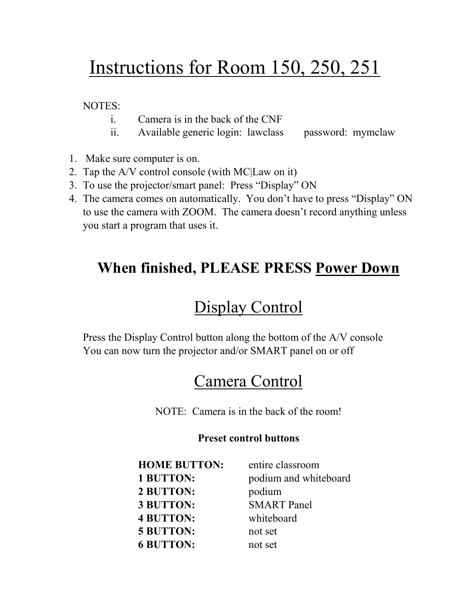# Instructions for Room 150, 250, 251

NOTES:

- i. Camera is in the back of the CNF
- ii. Available generic login: lawclass password: mymclaw
- 1. Make sure computer is on.
- 2. Tap the A/V control console (with MC|Law on it)
- 3. To use the projector/smart panel: Press "Display" ON
- 4. The camera comes on automatically. You don't have to press "Display" ON to use the camera with ZOOM. The camera doesn't record anything unless you start a program that uses it.

### **When finished, PLEASE PRESS Power Down**

## Display Control

Press the Display Control button along the bottom of the A/V console You can now turn the projector and/or SMART panel on or off

### Camera Control

NOTE: Camera is in the back of the room!

#### **Preset control buttons**

| <b>HOME BUTTON:</b> | entire classroom      |
|---------------------|-----------------------|
| 1 BUTTON:           | podium and whiteboard |
| 2 BUTTON:           | podium                |
| 3 BUTTON:           | <b>SMART</b> Panel    |
| <b>4 BUTTON:</b>    | whiteboard            |
| <b>5 BUTTON:</b>    | not set               |
| <b>6 BUTTON:</b>    | not set               |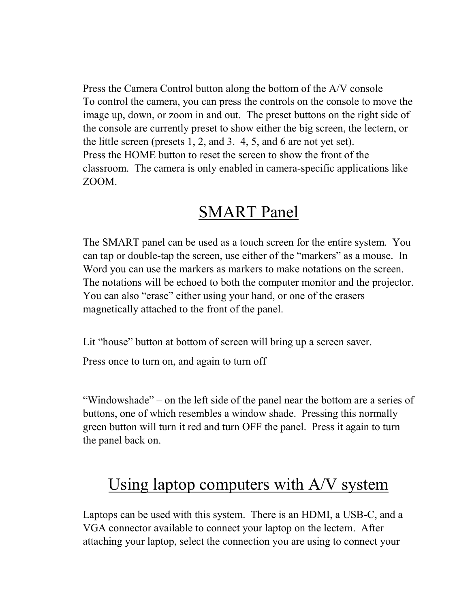Press the Camera Control button along the bottom of the A/V console To control the camera, you can press the controls on the console to move the image up, down, or zoom in and out. The preset buttons on the right side of the console are currently preset to show either the big screen, the lectern, or the little screen (presets 1, 2, and 3. 4, 5, and 6 are not yet set). Press the HOME button to reset the screen to show the front of the classroom. The camera is only enabled in camera-specific applications like ZOOM.

### SMART Panel

The SMART panel can be used as a touch screen for the entire system. You can tap or double-tap the screen, use either of the "markers" as a mouse. In Word you can use the markers as markers to make notations on the screen. The notations will be echoed to both the computer monitor and the projector. You can also "erase" either using your hand, or one of the erasers magnetically attached to the front of the panel.

Lit "house" button at bottom of screen will bring up a screen saver.

Press once to turn on, and again to turn off

"Windowshade" – on the left side of the panel near the bottom are a series of buttons, one of which resembles a window shade. Pressing this normally green button will turn it red and turn OFF the panel. Press it again to turn the panel back on.

### Using laptop computers with A/V system

Laptops can be used with this system. There is an HDMI, a USB-C, and a VGA connector available to connect your laptop on the lectern. After attaching your laptop, select the connection you are using to connect your